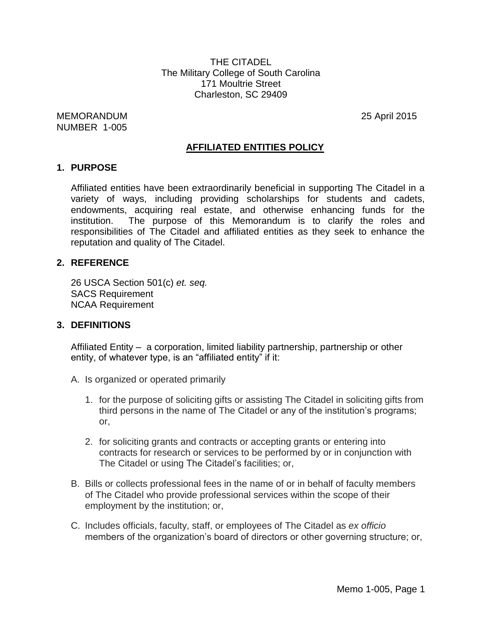THE CITADEL The Military College of South Carolina 171 Moultrie Street Charleston, SC 29409

MEMORANDUM 25 April 2015 NUMBER 1-005

### **AFFILIATED ENTITIES POLICY**

#### **1. PURPOSE**

Affiliated entities have been extraordinarily beneficial in supporting The Citadel in a variety of ways, including providing scholarships for students and cadets, endowments, acquiring real estate, and otherwise enhancing funds for the institution. The purpose of this Memorandum is to clarify the roles and responsibilities of The Citadel and affiliated entities as they seek to enhance the reputation and quality of The Citadel.

### **2. REFERENCE**

26 USCA Section 501(c) *et. seq.* SACS Requirement NCAA Requirement

#### **3. DEFINITIONS**

Affiliated Entity – a corporation, limited liability partnership, partnership or other entity, of whatever type, is an "affiliated entity" if it:

- A. Is organized or operated primarily
	- 1. for the purpose of soliciting gifts or assisting The Citadel in soliciting gifts from third persons in the name of The Citadel or any of the institution's programs; or,
	- 2. for soliciting grants and contracts or accepting grants or entering into contracts for research or services to be performed by or in conjunction with The Citadel or using The Citadel's facilities; or,
- B. Bills or collects professional fees in the name of or in behalf of faculty members of The Citadel who provide professional services within the scope of their employment by the institution; or,
- C. Includes officials, faculty, staff, or employees of The Citadel as *ex officio* members of the organization's board of directors or other governing structure; or,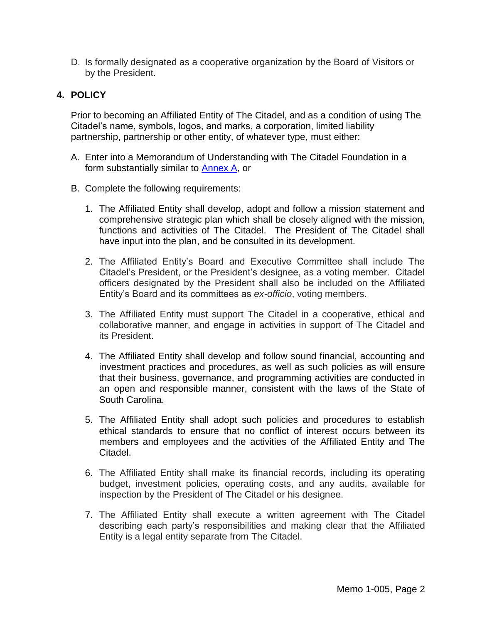D. Is formally designated as a cooperative organization by the Board of Visitors or by the President.

## **4. POLICY**

Prior to becoming an Affiliated Entity of The Citadel, and as a condition of using The Citadel's name, symbols, logos, and marks, a corporation, limited liability partnership, partnership or other entity, of whatever type, must either:

- A. Enter into a Memorandum of Understanding with The Citadel Foundation in a form substantially similar to [Annex](#page-3-0) A, or
- B. Complete the following requirements:
	- 1. The Affiliated Entity shall develop, adopt and follow a mission statement and comprehensive strategic plan which shall be closely aligned with the mission, functions and activities of The Citadel. The President of The Citadel shall have input into the plan, and be consulted in its development.
	- 2. The Affiliated Entity's Board and Executive Committee shall include The Citadel's President, or the President's designee, as a voting member. Citadel officers designated by the President shall also be included on the Affiliated Entity's Board and its committees as *ex-officio*, voting members.
	- 3. The Affiliated Entity must support The Citadel in a cooperative, ethical and collaborative manner, and engage in activities in support of The Citadel and its President.
	- 4. The Affiliated Entity shall develop and follow sound financial, accounting and investment practices and procedures, as well as such policies as will ensure that their business, governance, and programming activities are conducted in an open and responsible manner, consistent with the laws of the State of South Carolina.
	- 5. The Affiliated Entity shall adopt such policies and procedures to establish ethical standards to ensure that no conflict of interest occurs between its members and employees and the activities of the Affiliated Entity and The Citadel.
	- 6. The Affiliated Entity shall make its financial records, including its operating budget, investment policies, operating costs, and any audits, available for inspection by the President of The Citadel or his designee.
	- 7. The Affiliated Entity shall execute a written agreement with The Citadel describing each party's responsibilities and making clear that the Affiliated Entity is a legal entity separate from The Citadel.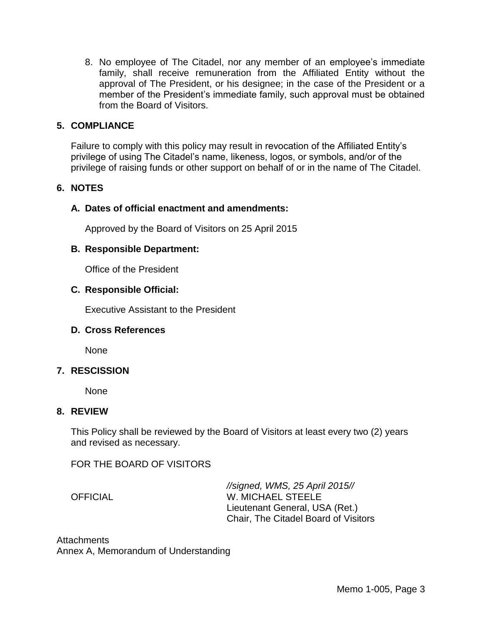8. No employee of The Citadel, nor any member of an employee's immediate family, shall receive remuneration from the Affiliated Entity without the approval of The President, or his designee; in the case of the President or a member of the President's immediate family, such approval must be obtained from the Board of Visitors.

## **5. COMPLIANCE**

Failure to comply with this policy may result in revocation of the Affiliated Entity's privilege of using The Citadel's name, likeness, logos, or symbols, and/or of the privilege of raising funds or other support on behalf of or in the name of The Citadel.

## **6. NOTES**

## **A. Dates of official enactment and amendments:**

Approved by the Board of Visitors on 25 April 2015

### **B. Responsible Department:**

Office of the President

## **C. Responsible Official:**

Executive Assistant to the President

### **D. Cross References**

None

### **7. RESCISSION**

None

### **8. REVIEW**

This Policy shall be reviewed by the Board of Visitors at least every two (2) years and revised as necessary.

FOR THE BOARD OF VISITORS

*//signed, WMS, 25 April 2015//* OFFICIAL W. MICHAEL STEELE Lieutenant General, USA (Ret.) Chair, The Citadel Board of Visitors

**Attachments** Annex A, Memorandum of Understanding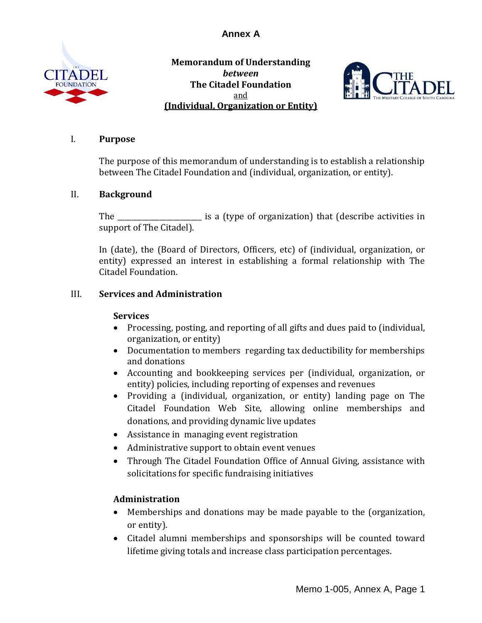<span id="page-3-0"></span>

**Memorandum of Understanding** *between* **The Citadel Foundation** and **(Individual, Organization or Entity)**



### I. **Purpose**

The purpose of this memorandum of understanding is to establish a relationship between The Citadel Foundation and (individual, organization, or entity).

## II. **Background**

The \_\_\_\_\_\_\_\_\_\_\_\_\_\_\_\_\_\_\_\_\_\_\_\_ is a (type of organization) that (describe activities in support of The Citadel).

In (date), the (Board of Directors, Officers, etc) of (individual, organization, or entity) expressed an interest in establishing a formal relationship with The Citadel Foundation.

# III. **Services and Administration**

### **Services**

- Processing, posting, and reporting of all gifts and dues paid to (individual, organization, or entity)
- Documentation to members regarding tax deductibility for memberships and donations
- Accounting and bookkeeping services per (individual, organization, or entity) policies, including reporting of expenses and revenues
- Providing a (individual, organization, or entity) landing page on The Citadel Foundation Web Site, allowing online memberships and donations, and providing dynamic live updates
- Assistance in managing event registration
- Administrative support to obtain event venues
- Through The Citadel Foundation Office of Annual Giving, assistance with solicitations for specific fundraising initiatives

# **Administration**

- Memberships and donations may be made payable to the (organization, or entity).
- Citadel alumni memberships and sponsorships will be counted toward lifetime giving totals and increase class participation percentages.